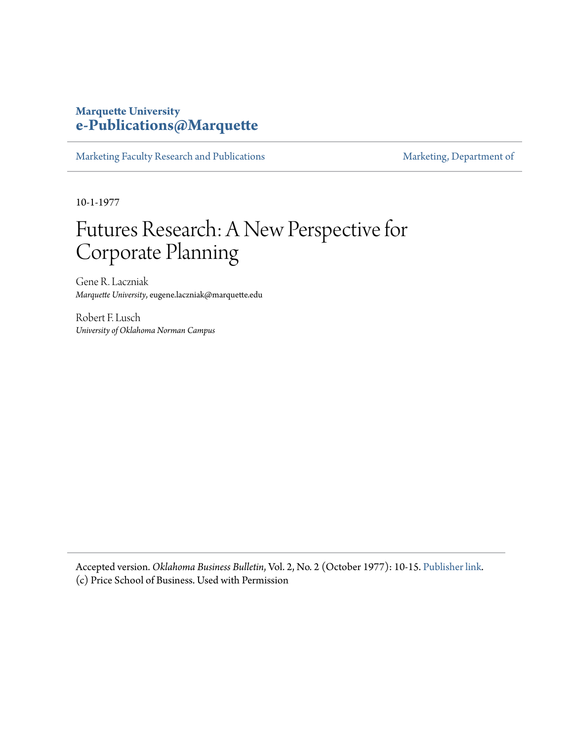#### **Marquette University [e-Publications@Marquette](https://epublications.marquette.edu)**

[Marketing Faculty Research and Publications](https://epublications.marquette.edu/market_fac) [Marketing, Department of](https://epublications.marquette.edu/market)

10-1-1977

# Futures Research: A New Perspective for Corporate Planning

Gene R. Laczniak *Marquette University*, eugene.laczniak@marquette.edu

Robert F. Lusch *University of Oklahoma Norman Campus*

Accepted version. *Oklahoma Business Bulletin*, Vol. 2, No. 2 (October 1977): 10-15. [Publisher link.](http://www.ou.edu/price/centersresearch/cemr) (c) Price School of Business. Used with Permission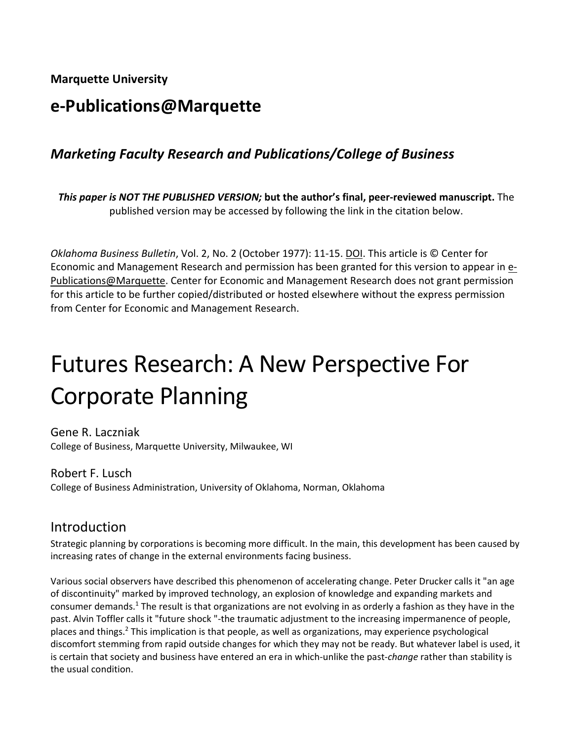**Marquette University**

# **e-Publications@Marquette**

# *Marketing Faculty Research and Publications/College of Business*

*This paper is NOT THE PUBLISHED VERSION;* **but the author's final, peer-reviewed manuscript.** The published version may be accessed by following the link in the citation below.

*Oklahoma Business Bulletin*, Vol. 2, No. 2 (October 1977): 11-15. [DOI.](http://www.ou.edu/price/centersresearch/cemr) This article is © Center for Economic and Management Research and permission has been granted for this version to appear in [e-](http://epublications.marquette.edu/)[Publications@Marquette.](http://epublications.marquette.edu/) Center for Economic and Management Research does not grant permission for this article to be further copied/distributed or hosted elsewhere without the express permission from Center for Economic and Management Research.

# Futures Research: A New Perspective For Corporate Planning

Gene R. Laczniak College of Business, Marquette University, Milwaukee, WI

Robert F. Lusch College of Business Administration, University of Oklahoma, Norman, Oklahoma

#### Introduction

Strategic planning by corporations is becoming more difficult. In the main, this development has been caused by increasing rates of change in the external environments facing business.

Various social observers have described this phenomenon of accelerating change. Peter Drucker calls it "an age of discontinuity" marked by improved technology, an explosion of knowledge and expanding markets and consumer demands.1 The result is that organizations are not evolving in as orderly a fashion as they have in the past. Alvin Toffler calls it "future shock "-the traumatic adjustment to the increasing impermanence of people, places and things.2 This implication is that people, as well as organizations, may experience psychological discomfort stemming from rapid outside changes for which they may not be ready. But whatever label is used, it is certain that society and business have entered an era in which-unlike the past-*change* rather than stability is the usual condition.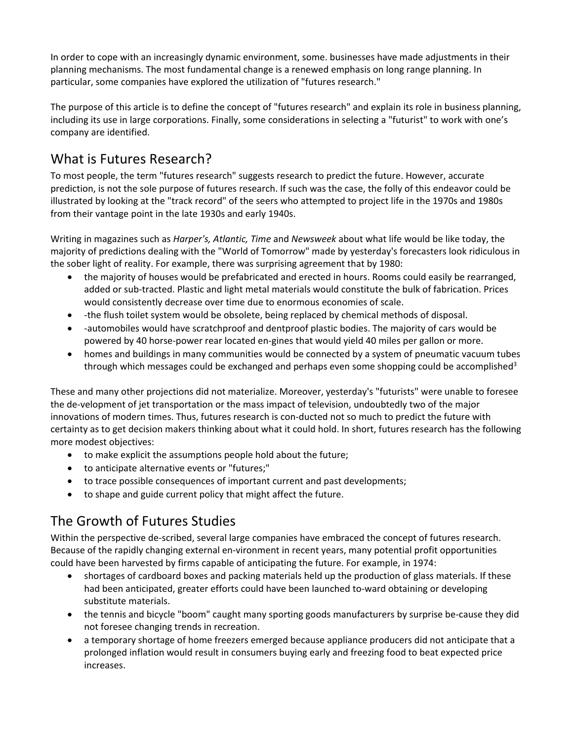In order to cope with an increasingly dynamic environment, some. businesses have made adjustments in their planning mechanisms. The most fundamental change is a renewed emphasis on long range planning. In particular, some companies have explored the utilization of "futures research."

The purpose of this article is to define the concept of "futures research" and explain its role in business planning, including its use in large corporations. Finally, some considerations in selecting a "futurist" to work with one's company are identified.

# What is Futures Research?

To most people, the term "futures research" suggests research to predict the future. However, accurate prediction, is not the sole purpose of futures research. If such was the case, the folly of this endeavor could be illustrated by looking at the "track record" of the seers who attempted to project life in the 1970s and 1980s from their vantage point in the late 1930s and early 1940s.

Writing in magazines such as *Harper's, Atlantic, Time* and *Newsweek* about what life would be like today, the majority of predictions dealing with the "World of Tomorrow" made by yesterday's forecasters look ridiculous in the sober light of reality. For example, there was surprising agreement that by 1980:

- the majority of houses would be prefabricated and erected in hours. Rooms could easily be rearranged, added or sub-tracted. Plastic and light metal materials would constitute the bulk of fabrication. Prices would consistently decrease over time due to enormous economies of scale.
- -the flush toilet system would be obsolete, being replaced by chemical methods of disposal.
- -automobiles would have scratchproof and dentproof plastic bodies. The majority of cars would be powered by 40 horse-power rear located en-gines that would yield 40 miles per gallon or more.
- homes and buildings in many communities would be connected by a system of pneumatic vacuum tubes through which messages could be exchanged and perhaps even some shopping could be accomplished<sup>3</sup>

These and many other projections did not materialize. Moreover, yesterday's "futurists" were unable to foresee the de-velopment of jet transportation or the mass impact of television, undoubtedly two of the major innovations of modern times. Thus, futures research is con-ducted not so much to predict the future with certainty as to get decision makers thinking about what it could hold. In short, futures research has the following more modest objectives:

- to make explicit the assumptions people hold about the future;
- to anticipate alternative events or "futures;"
- to trace possible consequences of important current and past developments;
- to shape and guide current policy that might affect the future.

# The Growth of Futures Studies

Within the perspective de-scribed, several large companies have embraced the concept of futures research. Because of the rapidly changing external en-vironment in recent years, many potential profit opportunities could have been harvested by firms capable of anticipating the future. For example, in 1974:

- shortages of cardboard boxes and packing materials held up the production of glass materials. If these had been anticipated, greater efforts could have been launched to-ward obtaining or developing substitute materials.
- the tennis and bicycle "boom" caught many sporting goods manufacturers by surprise be-cause they did not foresee changing trends in recreation.
- a temporary shortage of home freezers emerged because appliance producers did not anticipate that a prolonged inflation would result in consumers buying early and freezing food to beat expected price increases.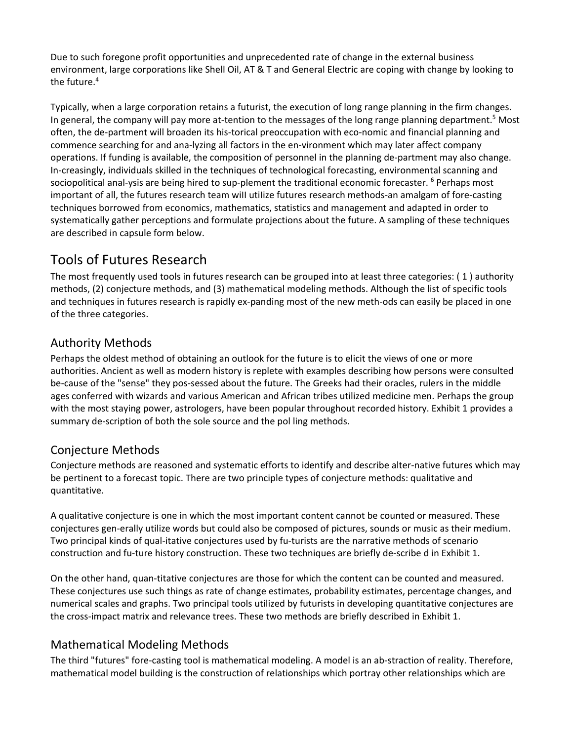Due to such foregone profit opportunities and unprecedented rate of change in the external business environment, large corporations like Shell Oil, AT & T and General Electric are coping with change by looking to the future.<sup>4</sup>

Typically, when a large corporation retains a futurist, the execution of long range planning in the firm changes. In general, the company will pay more at-tention to the messages of the long range planning department.<sup>5</sup> Most often, the de-partment will broaden its his-torical preoccupation with eco-nomic and financial planning and commence searching for and ana-lyzing all factors in the en-vironment which may later affect company operations. If funding is available, the composition of personnel in the planning de-partment may also change. In-creasingly, individuals skilled in the techniques of technological forecasting, environmental scanning and sociopolitical anal-ysis are being hired to sup-plement the traditional economic forecaster. <sup>6</sup> Perhaps most important of all, the futures research team wiII utiIize futures research methods-an amalgam of fore-casting techniques borrowed from economics, mathematics, statistics and management and adapted in order to systematically gather perceptions and formulate projections about the future. A sampling of these techniques are described in capsule form below.

### Tools of Futures Research

The most frequently used tools in futures research can be grouped into at least three categories: ( 1 ) authority methods, (2) conjecture methods, and (3) mathematical modeling methods. Although the list of specific tools and techniques in futures research is rapidly ex-panding most of the new meth-ods can easily be placed in one of the three categories.

#### Authority Methods

Perhaps the oldest method of obtaining an outlook for the future is to elicit the views of one or more authorities. Ancient as well as modern history is replete with examples describing how persons were consulted be-cause of the "sense" they pos-sessed about the future. The Greeks had their oracles, rulers in the middle ages conferred with wizards and various American and African tribes utilized medicine men. Perhaps the group with the most staying power, astrologers, have been popular throughout recorded history. Exhibit 1 provides a summary de-scription of both the sole source and the pol ling methods.

#### Conjecture Methods

Conjecture methods are reasoned and systematic efforts to identify and describe alter-native futures which may be pertinent to a forecast topic. There are two principle types of conjecture methods: qualitative and quantitative.

A qualitative conjecture is one in which the most important content cannot be counted or measured. These conjectures gen-erally utilize words but could also be composed of pictures, sounds or music as their medium. Two principal kinds of qual-itative conjectures used by fu-turists are the narrative methods of scenario construction and fu-ture history construction. These two techniques are briefly de-scribe d in Exhibit 1.

On the other hand, quan-titative conjectures are those for which the content can be counted and measured. These conjectures use such things as rate of change estimates, probability estimates, percentage changes, and numerical scales and graphs. Two principal tools utilized by futurists in developing quantitative conjectures are the cross-impact matrix and relevance trees. These two methods are briefly described in Exhibit 1.

#### Mathematical Modeling Methods

The third "futures" fore-casting tool is mathematical modeling. A model is an ab-straction of reality. Therefore, mathematical model building is the construction of relationships which portray other relationships which are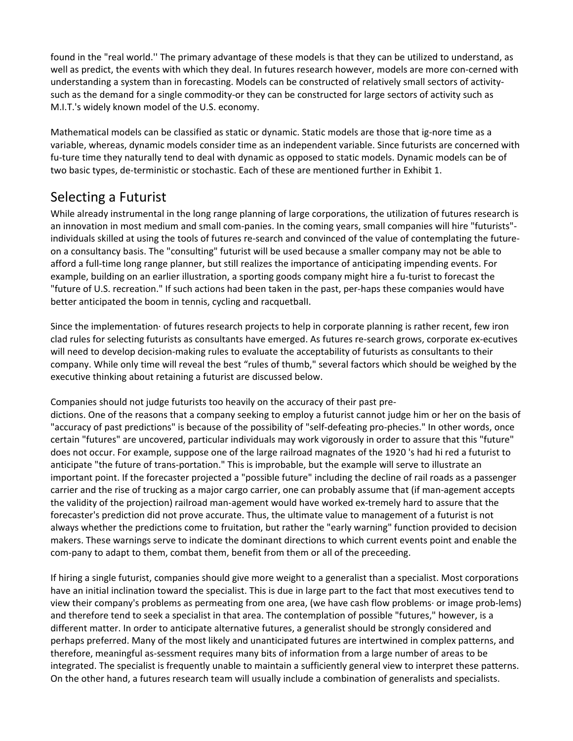found in the "real world.'' The primary advantage of these models is that they can be utilized to understand, as well as predict, the events with which they deal. In futures research however, models are more con-cerned with understanding a system than in forecasting. Models can be constructed of relatively small sectors of activitysuch as the demand for a single commodity-or they can be constructed for large sectors of activity such as M.I.T.'s widely known model of the U.S. economy.

Mathematical models can be classified as static or dynamic. Static models are those that ig-nore time as a variable, whereas, dynamic models consider time as an independent variable. Since futurists are concerned with fu-ture time they naturally tend to deal with dynamic as opposed to static models. Dynamic models can be of two basic types, de-terministic or stochastic. Each of these are mentioned further in Exhibit 1.

#### Selecting a Futurist

While already instrumental in the long range planning of large corporations, the utilization of futures research is an innovation in most medium and small com-panies. In the coming years, small companies will hire "futurists" individuals skilled at using the tools of futures re-search and convinced of the value of contemplating the futureon a consultancy basis. The "consulting" futurist will be used because a smaller company may not be able to afford a full-time long range planner, but still realizes the importance of anticipating impending events. For example, building on an earlier illustration, a sporting goods company might hire a fu-turist to forecast the "future of U.S. recreation." If such actions had been taken in the past, per-haps these companies would have better anticipated the boom in tennis, cycling and racquetbalI.

Since the implementation· of futures research projects to help in corporate planning is rather recent, few iron clad rules for selecting futurists as consultants have emerged. As futures re-search grows, corporate ex-ecutives will need to develop decision-making rules to evaluate the acceptability of futurists as consultants to their company. While only time will reveal the best "rules of thumb," several factors which should be weighed by the executive thinking about retaining a futurist are discussed below.

Companies should not judge futurists too heavily on the accuracy of their past pre-

dictions. One of the reasons that a company seeking to employ a futurist cannot judge him or her on the basis of "accuracy of past predictions" is because of the possibility of "self-defeating pro-phecies." In other words, once certain "futures" are uncovered, particular individuals may work vigorously in order to assure that this "future" does not occur. For example, suppose one of the large railroad magnates of the 1920 's had hi red a futurist to anticipate "the future of trans-portation." This is improbable, but the example will serve to illustrate an important point. If the forecaster projected a "possible future" including the decline of rail roads as a passenger carrier and the rise of trucking as a major cargo carrier, one can probably assume that (if man-agement accepts the validity of the projection) railroad man-agement would have worked ex-tremely hard to assure that the forecaster's prediction did not prove accurate. Thus, the ultimate value to management of a futurist is not always whether the predictions come to fruitation, but rather the "early warning" function provided to decision makers. These warnings serve to indicate the dominant directions to which current events point and enable the com-pany to adapt to them, combat them, benefit from them or all of the preceeding.

If hiring a single futurist, companies should give more weight to a generalist than a specialist. Most corporations have an initial inclination toward the specialist. This is due in large part to the fact that most executives tend to view their company's problems as permeating from one area, (we have cash flow problems· or image prob-lems) and therefore tend to seek a specialist in that area. The contemplation of possible "futures," however, is a different matter. In order to anticipate alternative futures, a generalist should be strongly considered and perhaps preferred. Many of the most likely and unanticipated futures are intertwined in complex patterns, and therefore, meaningful as-sessment requires many bits of information from a large number of areas to be integrated. The specialist is frequently unable to maintain a sufficiently general view to interpret these patterns. On the other hand, a futures research team will usually include a combination of generalists and specialists.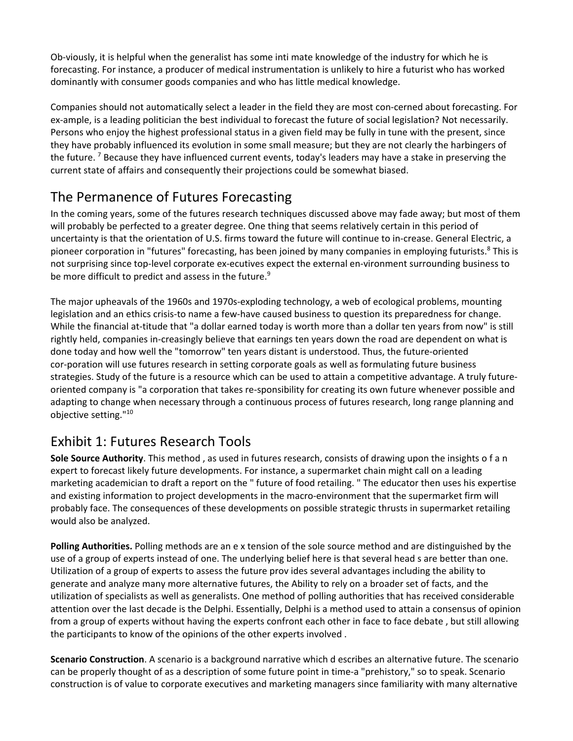Ob-viously, it is helpful when the generalist has some inti mate knowledge of the industry for which he is forecasting. For instance, a producer of medical instrumentation is unlikely to hire a futurist who has worked dominantly with consumer goods companies and who has little medical knowledge.

Companies should not automatically select a leader in the field they are most con-cerned about forecasting. For ex-ample, is a leading politician the best individual to forecast the future of social legislation? Not necessarily. Persons who enjoy the highest professional status in a given field may be fully in tune with the present, since they have probably influenced its evolution in some small measure; but they are not clearly the harbingers of the future. <sup>7</sup> Because they have influenced current events, today's leaders may have a stake in preserving the current state of affairs and consequently their projections could be somewhat biased.

# The Permanence of Futures Forecasting

In the coming years, some of the futures research techniques discussed above may fade away; but most of them will probably be perfected to a greater degree. One thing that seems relatively certain in this period of uncertainty is that the orientation of U.S. firms toward the future will continue to in-crease. General Electric, a pioneer corporation in "futures" forecasting, has been joined by many companies in employing futurists.<sup>8</sup> This is not surprising since top-level corporate ex-ecutives expect the external en-vironment surrounding business to be more difficult to predict and assess in the future.<sup>9</sup>

The major upheavals of the 1960s and 1970s-exploding technology, a web of ecological problems, mounting legislation and an ethics crisis-to name a few-have caused business to question its preparedness for change. While the financial at-titude that "a dollar earned today is worth more than a dollar ten years from now" is still rightly held, companies in-creasingly believe that earnings ten years down the road are dependent on what is done today and how well the "tomorrow" ten years distant is understood. Thus, the future-oriented cor-poration will use futures research in setting corporate goals as well as formulating future business strategies. Study of the future is a resource which can be used to attain a competitive advantage. A truly futureoriented company is "a corporation that takes re-sponsibility for creating its own future whenever possible and adapting to change when necessary through a continuous process of futures research, long range planning and objective setting."10

# Exhibit 1: Futures Research Tools

**Sole Source Authority**. This method , as used in futures research, consists of drawing upon the insights o f a n expert to forecast likely future developments. For instance, a supermarket chain might call on a leading marketing academician to draft a report on the " future of food retailing. " The educator then uses his expertise and existing information to project developments in the macro-environment that the supermarket firm will probably face. The consequences of these developments on possible strategic thrusts in supermarket retailing would also be analyzed.

**Polling Authorities.** Polling methods are an e x tension of the sole source method and are distinguished by the use of a group of experts instead of one. The underlying belief here is that several head s are better than one. Utilization of a group of experts to assess the future prov ides several advantages including the ability to generate and analyze many more alternative futures, the Ability to rely on a broader set of facts, and the utilization of specialists as well as generalists. One method of polling authorities that has received considerable attention over the last decade is the Delphi. Essentially, Delphi is a method used to attain a consensus of opinion from a group of experts without having the experts confront each other in face to face debate , but still allowing the participants to know of the opinions of the other experts involved .

**Scenario Construction**. A scenario is a background narrative which d escribes an alternative future. The scenario can be properly thought of as a description of some future point in time-a "prehistory," so to speak. Scenario construction is of value to corporate executives and marketing managers since familiarity with many alternative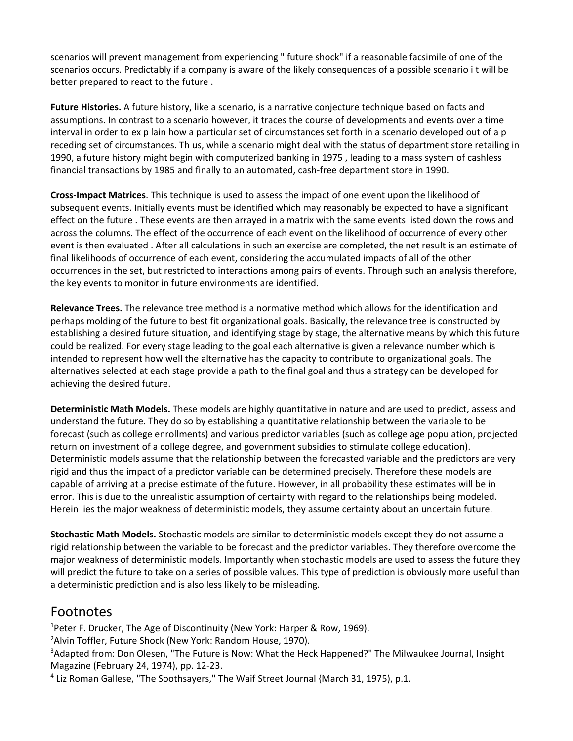scenarios will prevent management from experiencing " future shock" if a reasonable facsimile of one of the scenarios occurs. Predictably if a company is aware of the likely consequences of a possible scenario i t will be better prepared to react to the future .

**Future Histories.** A future history, like a scenario, is a narrative conjecture technique based on facts and assumptions. In contrast to a scenario however, it traces the course of developments and events over a time interval in order to ex p lain how a particular set of circumstances set forth in a scenario developed out of a p receding set of circumstances. Th us, while a scenario might deal with the status of department store retailing in 1990, a future history might begin with computerized banking in 1975 , leading to a mass system of cashless financial transactions by 1985 and finally to an automated, cash-free department store in 1990.

**Cross-Impact Matrices**. This technique is used to assess the impact of one event upon the likelihood of subsequent events. Initially events must be identified which may reasonably be expected to have a significant effect on the future . These events are then arrayed in a matrix with the same events listed down the rows and across the columns. The effect of the occurrence of each event on the likelihood of occurrence of every other event is then evaluated . After all calculations in such an exercise are completed, the net result is an estimate of final likelihoods of occurrence of each event, considering the accumulated impacts of all of the other occurrences in the set, but restricted to interactions among pairs of events. Through such an analysis therefore, the key events to monitor in future environments are identified.

**Relevance Trees.** The relevance tree method is a normative method which allows for the identification and perhaps molding of the future to best fit organizational goals. Basically, the relevance tree is constructed by establishing a desired future situation, and identifying stage by stage, the alternative means by which this future could be realized. For every stage leading to the goal each alternative is given a relevance number which is intended to represent how well the alternative has the capacity to contribute to organizational goals. The alternatives selected at each stage provide a path to the final goal and thus a strategy can be developed for achieving the desired future.

**Deterministic Math Models.** These models are highly quantitative in nature and are used to predict, assess and understand the future. They do so by establishing a quantitative relationship between the variable to be forecast (such as college enrollments) and various predictor variables (such as college age population, projected return on investment of a college degree, and government subsidies to stimulate college education). Deterministic models assume that the relationship between the forecasted variable and the predictors are very rigid and thus the impact of a predictor variable can be determined precisely. Therefore these models are capable of arriving at a precise estimate of the future. However, in all probability these estimates will be in error. This is due to the unrealistic assumption of certainty with regard to the relationships being modeled. Herein lies the major weakness of deterministic models, they assume certainty about an uncertain future.

**Stochastic Math Models.** Stochastic models are similar to deterministic models except they do not assume a rigid relationship between the variable to be forecast and the predictor variables. They therefore overcome the major weakness of deterministic models. Importantly when stochastic models are used to assess the future they will predict the future to take on a series of possible values. This type of prediction is obviously more useful than a deterministic prediction and is also less Iikely to be misleading.

#### Footnotes

<sup>1</sup>Peter F. Drucker, The Age of Discontinuity (New York: Harper & Row, 1969).

<sup>2</sup>Alvin Toffler, Future Shock (New York: Random House, 1970).

<sup>3</sup>Adapted from: Don Olesen, "The Future is Now: What the Heck Happened?" The Milwaukee Journal, Insight Magazine (February 24, 1974), pp. 12-23.

<sup>4</sup> Liz Roman Gallese, "The Soothsayers," The Waif Street Journal {March 31, 1975), p.1.